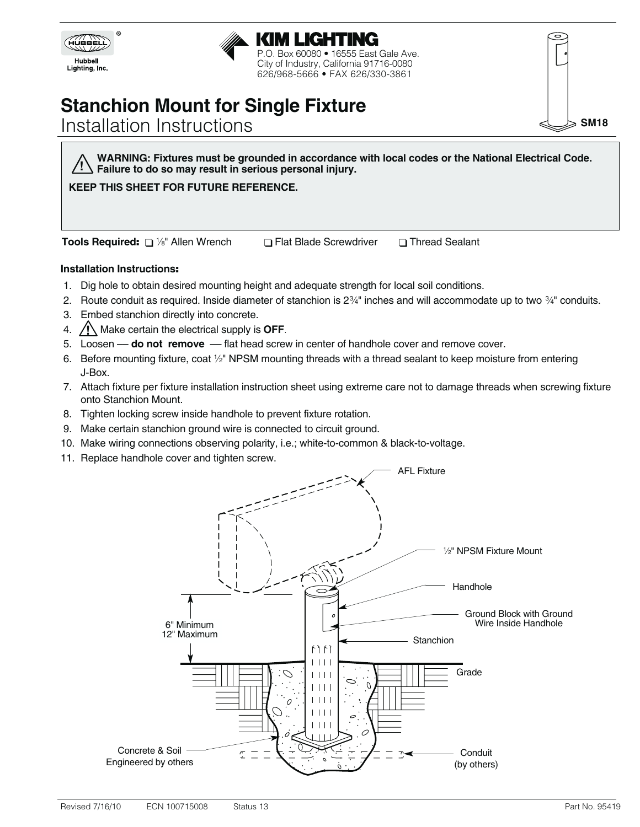

#### KIM LIGHTING P.O. Box 60080 • 16555 East Gale Ave. City of Industry, California 91716-0080 626/968-5666 • FAX 626/330-3861

# **Stanchion Mount for Single Fixture**

# Installation Instructions

**WARNING: Fixtures must be grounded in accordance with local codes or the National Electrical Code. Failure to do so may result in serious personal injury. !**

# **KEEP THIS SHEET FOR FUTURE REFERENCE.**

**Tools Required:**  $\Box$  <sup>1</sup>/<sub>8</sub>" Allen Wrench  $\Box$  Flat Blade Screwdriver  $\Box$  Thread Sealant

## **Installation Instructions**:

- 1. Dig hole to obtain desired mounting height and adequate strength for local soil conditions.
- 2. Route conduit as required. Inside diameter of stanchion is  $2\frac{3}{4}$ " inches and will accommodate up to two  $\frac{3}{4}$ " conduits.
- 3. Embed stanchion directly into concrete.
- 4.  $\angle I$  Make certain the electrical supply is **OFF**.
- 5. Loosen –– **do not remove** –– flat head screw in center of handhole cover and remove cover.
- 6. Before mounting fixture, coat  $\frac{1}{2}$ " NPSM mounting threads with a thread sealant to keep moisture from entering J-Box.
- 7. Attach fixture per fixture installation instruction sheet using extreme care not to damage threads when screwing fixture onto Stanchion Mount.
- 8. Tighten locking screw inside handhole to prevent fixture rotation.
- 9. Make certain stanchion ground wire is connected to circuit ground.
- 10. Make wiring connections observing polarity, i.e.; white-to-common & black-to-voltage.
- 11. Replace handhole cover and tighten screw.



**SM18**